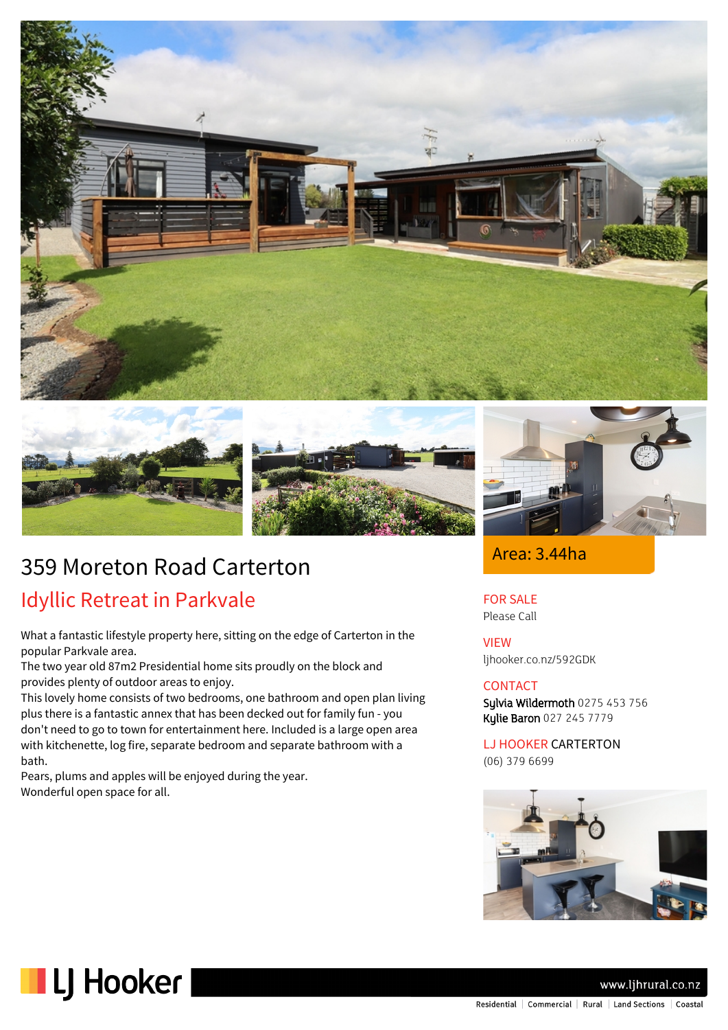



# 359 Moreton Road Carterton

# Idyllic Retreat in Parkvale

What a fantastic lifestyle property here, sitting on the edge of Carterton in the popular Parkvale area.

The two year old 87m2 Presidential home sits proudly on the block and provides plenty of outdoor areas to enjoy.

This lovely home consists of two bedrooms, one bathroom and open plan living plus there is a fantastic annex that has been decked out for family fun - you don't need to go to town for entertainment here. Included is a large open area with kitchenette, log fire, separate bedroom and separate bathroom with a bath.

Pears, plums and apples will be enjoyed during the year. Wonderful open space for all.



### Area: 3.44ha

FOR SALE Please Call

VIEW ljhooker.co.nz/592GDK

#### CONTACT

Sylvia Wildermoth 0275 453 756 Kylie Baron 027 245 7779

LJ HOOKER CARTERTON (06) 379 6699





www.ljhrural.co.nz